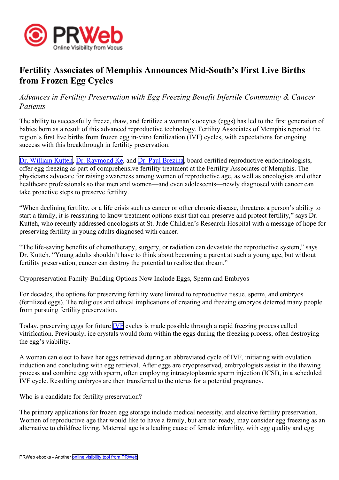

## **Fertility Associates of Memphis Announces Mid-South's First Live Births from Frozen Egg Cycles**

*Advances in Fertility Preservation with Egg Freezing Benefit Infertile Community & Cancer Patients*

The ability to successfully freeze, thaw, and fertilize <sup>a</sup> woman's oocytes (eggs) has led to the first generation of babies born as <sup>a</sup> result of this advanced reproductive technology. Fertility Associates of Memphis reported the region's first live births from frozen egg in-vitro fertilization (IVF) cycles, with expectations for ongoing success with this breakthrough in fertility preservation.

Dr. William [Kutteh](http://fertilitymemphis.com/about-us/william-kutteh/), Dr. [Raymond](http://fertilitymemphis.com/about-us/raymond-ke-md/) Ke, and Dr. Paul [Brezina](http://fertilitymemphis.com/about-us/paul-brezina-md/), board certified reproductive endocrinologists, offer egg freezing as par<sup>t</sup> of comprehensive fertility treatment at the Fertility Associates of Memphis. The physicians advocate for raising awareness among women of reproductive age, as well as oncologists and other healthcare professionals so that men and women—and even adolescents—newly diagnosed with cancer can take proactive steps to preserve fertility.

"When declining fertility, or <sup>a</sup> life crisis such as cancer or other chronic disease, threatens <sup>a</sup> person's ability to start <sup>a</sup> family, it is reassuring to know treatment options exist that can preserve and protect fertility," says Dr. Kutteh, who recently addressed oncologists at St. Jude Children's Research Hospital with <sup>a</sup> message of hope for preserving fertility in young adults diagnosed with cancer.

"The life-saving benefits of chemotherapy, surgery, or radiation can devastate the reproductive system," says Dr. Kutteh. "Young adults shouldn't have to think about becoming <sup>a</sup> paren<sup>t</sup> at such <sup>a</sup> young age, but without fertility preservation, cancer can destroy the potential to realize that dream."

Cryopreservation Family-Building Options Now Include Eggs, Sperm and Embryos

For decades, the options for preserving fertility were limited to reproductive tissue, sperm, and embryos (fertilized eggs). The religious and ethical implications of creating and freezing embryos deterred many people from pursuing fertility preservation.

Today, preserving eggs for future [IVF](http://fertilitymemphis.com/ivf-art/) cycles is made possible through <sup>a</sup> rapid freezing process called vitrification. Previously, ice crystals would form within the eggs during the freezing process, often destroying the egg's viability.

A woman can elect to have her eggs retrieved during an abbreviated cycle of IVF, initiating with ovulation induction and concluding with egg retrieval. After eggs are cryopreserved, embryologists assist in the thawing process and combine egg with sperm, often employing intracytoplasmic sperm injection (ICSI), in <sup>a</sup> scheduled IVF cycle. Resulting embryos are then transferred to the uterus for <sup>a</sup> potential pregnancy.

Who is <sup>a</sup> candidate for fertility preservation?

The primary applications for frozen egg storage include medical necessity, and elective fertility preservation. Women of reproductive age that would like to have <sup>a</sup> family, but are not ready, may consider egg freezing as an alternative to childfree living. Maternal age is <sup>a</sup> leading cause of female infertility, with egg quality and egg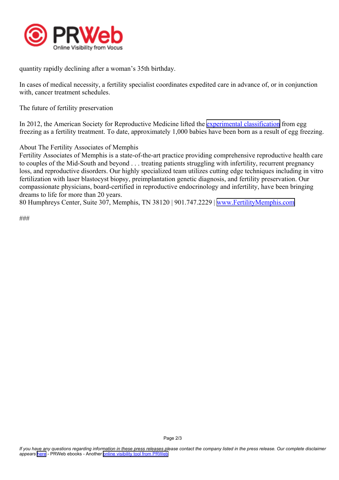

quantity rapidly declining after <sup>a</sup> woman's 35th birthday.

In cases of medical necessity, <sup>a</sup> fertility specialist coordinates expedited care in advance of, or in conjunction with, cancer treatment schedules.

The future of fertility preservation

In 2012, the American Society for Reproductive Medicine lifted the experimental [classification](http://www.pbs.org/newshour/bb/health/july-dec12/eggs_10-19.html) from egg freezing as <sup>a</sup> fertility treatment. To date, approximately 1,000 babies have been born as <sup>a</sup> result of egg freezing.

About The Fertility Associates of Memphis

Fertility Associates of Memphis is <sup>a</sup> state-of-the-art practice providing comprehensive reproductive health care to couples of the Mid-South and beyond . . . treating patients struggling with infertility, recurrent pregnancy loss, and reproductive disorders. Our highly specialized team utilizes cutting edge techniques including in vitro fertilization with laser blastocyst biopsy, preimplantation genetic diagnosis, and fertility preservation. Our compassionate physicians, board-certified in reproductive endocrinology and infertility, have been bringing dreams to life for more than 20 years.

80 Humphreys Center, Suite 307, Memphis, TN 38120 | 901.747.2229 | [www.FertilityMemphis.com](http://www.FertilityMemphis.com)

###